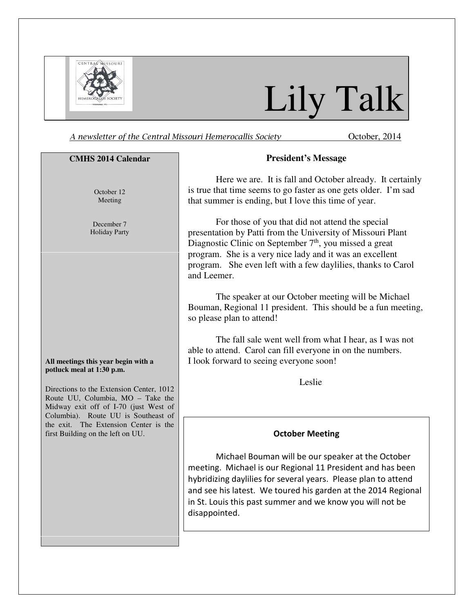

# Lily Talk

A newsletter of the Central Missouri Hemerocallis Society **Central** October, 2014

#### **CMHS 2014 Calendar**

October 12 Meeting

December 7 Holiday Party

#### **All meetings this year begin with a potluck meal at 1:30 p.m.**

Directions to the Extension Center, 1012 Route UU, Columbia, MO – Take the Midway exit off of I-70 (just West of Columbia). Route UU is Southeast of the exit. The Extension Center is the first Building on the left on UU.

#### **President's Message**

Here we are. It is fall and October already. It certainly is true that time seems to go faster as one gets older. I'm sad that summer is ending, but I love this time of year.

For those of you that did not attend the special presentation by Patti from the University of Missouri Plant Diagnostic Clinic on September 7<sup>th</sup>, you missed a great program. She is a very nice lady and it was an excellent program. She even left with a few daylilies, thanks to Carol and Leemer.

The speaker at our October meeting will be Michael Bouman, Regional 11 president. This should be a fun meeting, so please plan to attend!

The fall sale went well from what I hear, as I was not able to attend. Carol can fill everyone in on the numbers. I look forward to seeing everyone soon!

Leslie

#### October Meeting

Michael Bouman will be our speaker at the October meeting. Michael is our Regional 11 President and has been hybridizing daylilies for several years. Please plan to attend and see his latest. We toured his garden at the 2014 Regional in St. Louis this past summer and we know you will not be disappointed.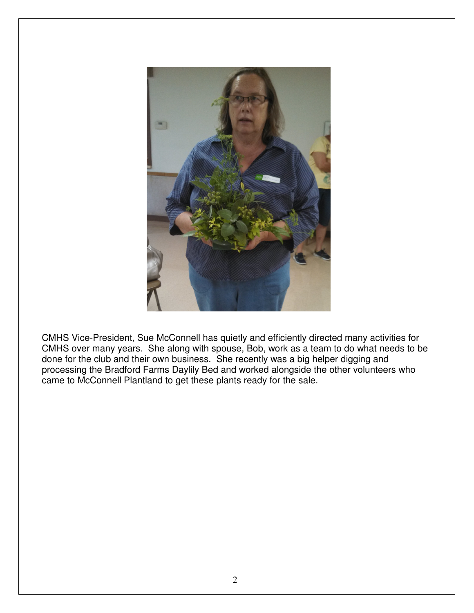

CMHS Vice-President, Sue McConnell has quietly and efficiently directed many activities for CMHS over many years. She along with spouse, Bob, work as a team to do what needs to be done for the club and their own business. She recently was a big helper digging and processing the Bradford Farms Daylily Bed and worked alongside the other volunteers who came to McConnell Plantland to get these plants ready for the sale.